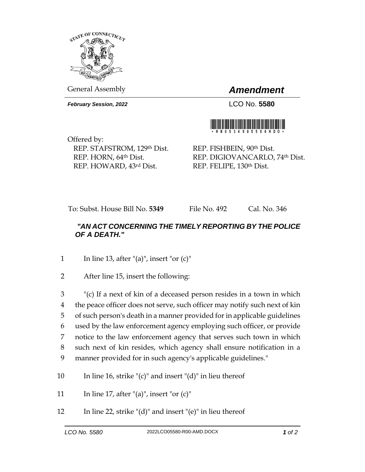

General Assembly *Amendment*

*February Session, 2022* LCO No. **5580**



Offered by: REP. STAFSTROM, 129th Dist. REP. HORN, 64th Dist. REP. HOWARD, 43rd Dist.

REP. FISHBEIN, 90th Dist. REP. DIGIOVANCARLO, 74th Dist. REP. FELIPE, 130th Dist.

To: Subst. House Bill No. **5349** File No. 492 Cal. No. 346

## *"AN ACT CONCERNING THE TIMELY REPORTING BY THE POLICE OF A DEATH."*

1 In line 13, after "(a)", insert "or  $(c)$ "

2 After line 15, insert the following:

 "(c) If a next of kin of a deceased person resides in a town in which the peace officer does not serve, such officer may notify such next of kin of such person's death in a manner provided for in applicable guidelines used by the law enforcement agency employing such officer, or provide notice to the law enforcement agency that serves such town in which such next of kin resides, which agency shall ensure notification in a manner provided for in such agency's applicable guidelines."

- 10 In line 16, strike " $(c)$ " and insert " $(d)$ " in lieu thereof
- 11 In line 17, after "(a)", insert "or  $(c)$ "
- 12 In line 22, strike " $(d)$ " and insert " $(e)$ " in lieu thereof